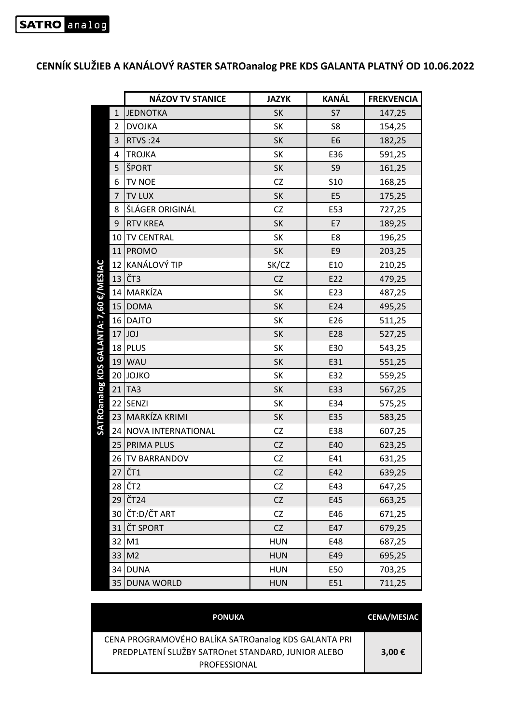## **CENNÍK SLUŽIEB A KANÁLOVÝ RASTER SATROanalog PRE KDS GALANTA PLATNÝ OD 10.06.2022**

|                                     | <b>NÁZOV TV STANICE</b>    | <b>JAZYK</b> | <b>KANÁL</b>   | <b>FREKVENCIA</b> |
|-------------------------------------|----------------------------|--------------|----------------|-------------------|
| $\mathbf{1}$                        | <b>JEDNOTKA</b>            | <b>SK</b>    | S7             | 147,25            |
| 2                                   | <b>DVOJKA</b>              | SK           | S8             | 154,25            |
| 3                                   | <b>RTVS:24</b>             | <b>SK</b>    | E <sub>6</sub> | 182,25            |
| 4                                   | <b>TROJKA</b>              | SK           | E36            | 591,25            |
| 5                                   | ŠPORT                      | SK           | S9             | 161,25            |
| 6                                   | TV NOE                     | <b>CZ</b>    | <b>S10</b>     | 168,25            |
| 7                                   | <b>TV LUX</b>              | SK           | E <sub>5</sub> | 175,25            |
| 8                                   | ŠLÁGER ORIGINÁL            | CZ           | E53            | 727,25            |
| 9                                   | <b>RTV KREA</b>            | SK           | E7             | 189,25            |
| 10                                  | <b>TV CENTRAL</b>          | SK           | E8             | 196,25            |
|                                     | 11 PROMO                   | SK           | E9             | 203,25            |
| 12                                  | KANÁLOVÝ TIP               | SK/CZ        | E10            | 210,25            |
| 13                                  | ČT3                        | <b>CZ</b>    | E22            | 479,25            |
| <b>E/MESIAC</b><br>14               | MARKÍZA                    | SK           | E23            | 487,25            |
| 15                                  | <b>DOMA</b>                | SK           | E24            | 495,25            |
| 16                                  | <b>DAJTO</b>               | SK           | E26            | 511,25            |
| 17                                  | <b>JOJ</b>                 | SK           | E28            | 527,25            |
| 18                                  | PLUS                       | SK           | E30            | 543,25            |
| 19                                  | <b>WAU</b>                 | SK           | E31            | 551,25            |
| 20                                  | <b>JOJKO</b>               | SK           | E32            | 559,25            |
| SATROanalog KDS GALANTA: 7,60<br>21 | TA <sub>3</sub>            | SK           | E33            | 567,25            |
| 22                                  | SENZI                      | SK           | E34            | 575,25            |
| 23                                  | MARKÍZA KRIMI              | SK           | E35            | 583,25            |
| 24                                  | NOVA INTERNATIONAL         | CZ           | E38            | 607,25            |
| 25                                  | <b>PRIMA PLUS</b>          | CZ           | E40            | 623,25            |
| 26                                  | <b>TV BARRANDOV</b>        | CZ           | E41            | 631,25            |
|                                     | $27$ $\check{\text{CT}}$ 1 | <b>CZ</b>    | E42            | 639,25            |
| 28                                  | ČT <sub>2</sub>            | CZ           | E43            | 647,25            |
|                                     | 29 ČT <sub>24</sub>        | <b>CZ</b>    | E45            | 663,25            |
|                                     | 30 ČT:D/ČT ART             | CZ           | E46            | 671,25            |
| 31                                  | <b>ČT SPORT</b>            | CZ           | E47            | 679,25            |
| 32                                  | M1                         | <b>HUN</b>   | E48            | 687,25            |
| 33                                  | M <sub>2</sub>             | <b>HUN</b>   | E49            | 695,25            |
| 34                                  | <b>DUNA</b>                | <b>HUN</b>   | E50            | 703,25            |
|                                     | 35 DUNA WORLD              | <b>HUN</b>   | E51            | 711,25            |

| <b>PONUKA</b>                                                                                                              | <b>CENA/MESIAC</b> |
|----------------------------------------------------------------------------------------------------------------------------|--------------------|
| CENA PROGRAMOVÉHO BALÍKA SATROanalog KDS GALANTA PRI<br>PREDPLATENÍ SLUŽBY SATROnet STANDARD, JUNIOR ALEBO<br>PROFESSIONAL | 3,00 €             |